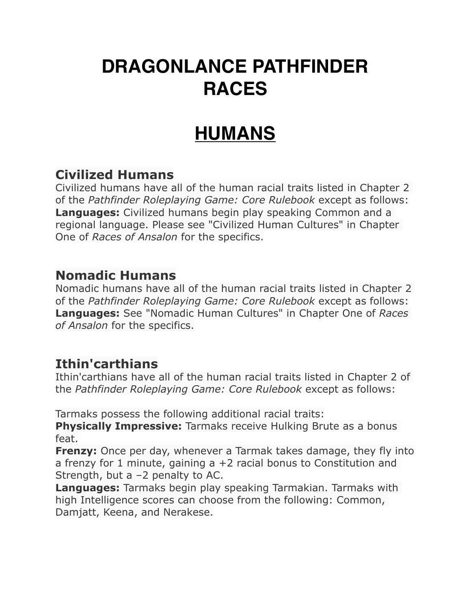### **DRAGONLANCE PATHFINDER RACES**

### **HUMANS**

#### **Civilized Humans**

Civilized humans have all of the human racial traits listed in Chapter 2 of the *Pathfinder Roleplaying Game: Core Rulebook* except as follows: **Languages:** Civilized humans begin play speaking Common and a regional language. Please see "Civilized Human Cultures" in Chapter One of *Races of Ansalon* for the specifics.

#### **Nomadic Humans**

Nomadic humans have all of the human racial traits listed in Chapter 2 of the *Pathfinder Roleplaying Game: Core Rulebook* except as follows: **Languages:** See "Nomadic Human Cultures" in Chapter One of *Races of Ansalon* for the specifics.

#### **Ithin'carthians**

Ithin'carthians have all of the human racial traits listed in Chapter 2 of the *Pathfinder Roleplaying Game: Core Rulebook* except as follows:

Tarmaks possess the following additional racial traits:

**Physically Impressive:** Tarmaks receive Hulking Brute as a bonus feat.

**Frenzy:** Once per day, whenever a Tarmak takes damage, they fly into a frenzy for 1 minute, gaining  $a + 2$  racial bonus to Constitution and Strength, but a  $-2$  penalty to AC.

**Languages:** Tarmaks begin play speaking Tarmakian. Tarmaks with high Intelligence scores can choose from the following: Common, Damjatt, Keena, and Nerakese.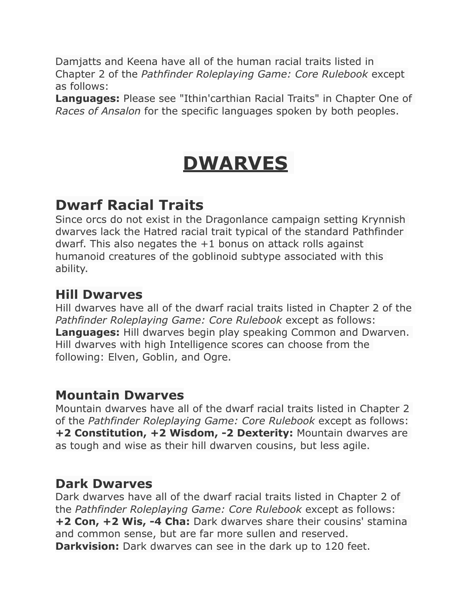Damjatts and Keena have all of the human racial traits listed in Chapter 2 of the *Pathfinder Roleplaying Game: Core Rulebook* except as follows:

**Languages:** Please see "Ithin'carthian Racial Traits" in Chapter One of *Races of Ansalon* for the specific languages spoken by both peoples.

# **DWARVES**

#### **Dwarf Racial Traits**

Since orcs do not exist in the Dragonlance campaign setting Krynnish dwarves lack the Hatred racial trait typical of the standard Pathfinder dwarf. This also negates the +1 bonus on attack rolls against humanoid creatures of the goblinoid subtype associated with this ability.

#### **Hill Dwarves**

Hill dwarves have all of the dwarf racial traits listed in Chapter 2 of the *Pathfinder Roleplaying Game: Core Rulebook* except as follows: **Languages:** Hill dwarves begin play speaking Common and Dwarven. Hill dwarves with high Intelligence scores can choose from the following: Elven, Goblin, and Ogre.

#### **Mountain Dwarves**

Mountain dwarves have all of the dwarf racial traits listed in Chapter 2 of the *Pathfinder Roleplaying Game: Core Rulebook* except as follows: **+2 Constitution, +2 Wisdom, -2 Dexterity:** Mountain dwarves are as tough and wise as their hill dwarven cousins, but less agile.

#### **Dark Dwarves**

Dark dwarves have all of the dwarf racial traits listed in Chapter 2 of the *Pathfinder Roleplaying Game: Core Rulebook* except as follows: **+2 Con, +2 Wis, -4 Cha:** Dark dwarves share their cousins' stamina and common sense, but are far more sullen and reserved. **Darkvision:** Dark dwarves can see in the dark up to 120 feet.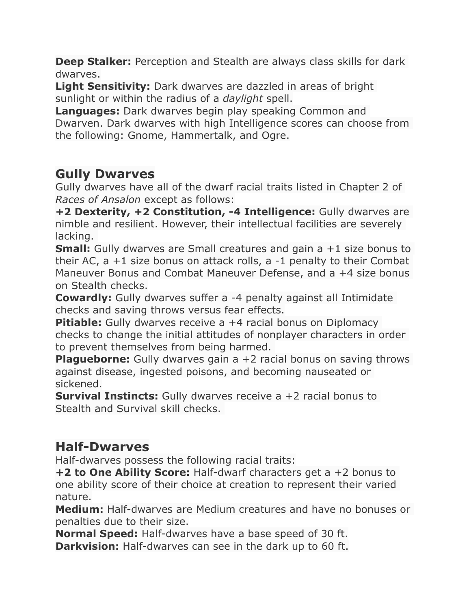**Deep Stalker:** Perception and Stealth are always class skills for dark dwarves.

**Light Sensitivity:** Dark dwarves are dazzled in areas of bright sunlight or within the radius of a *daylight* spell.

**Languages:** Dark dwarves begin play speaking Common and Dwarven. Dark dwarves with high Intelligence scores can choose from the following: Gnome, Hammertalk, and Ogre.

#### **Gully Dwarves**

Gully dwarves have all of the dwarf racial traits listed in Chapter 2 of *Races of Ansalon* except as follows:

**+2 Dexterity, +2 Constitution, -4 Intelligence:** Gully dwarves are nimble and resilient. However, their intellectual facilities are severely lacking.

**Small:** Gully dwarves are Small creatures and gain a +1 size bonus to their AC, a +1 size bonus on attack rolls, a -1 penalty to their Combat Maneuver Bonus and Combat Maneuver Defense, and a +4 size bonus on Stealth checks.

**Cowardly:** Gully dwarves suffer a -4 penalty against all Intimidate checks and saving throws versus fear effects.

**Pitiable:** Gully dwarves receive a +4 racial bonus on Diplomacy checks to change the initial attitudes of nonplayer characters in order to prevent themselves from being harmed.

**Plagueborne:** Gully dwarves gain a +2 racial bonus on saving throws against disease, ingested poisons, and becoming nauseated or sickened.

**Survival Instincts:** Gully dwarves receive a +2 racial bonus to Stealth and Survival skill checks.

#### **Half-Dwarves**

Half-dwarves possess the following racial traits:

**+2 to One Ability Score:** Half-dwarf characters get a +2 bonus to one ability score of their choice at creation to represent their varied nature.

**Medium:** Half-dwarves are Medium creatures and have no bonuses or penalties due to their size.

**Normal Speed:** Half-dwarves have a base speed of 30 ft. **Darkvision:** Half-dwarves can see in the dark up to 60 ft.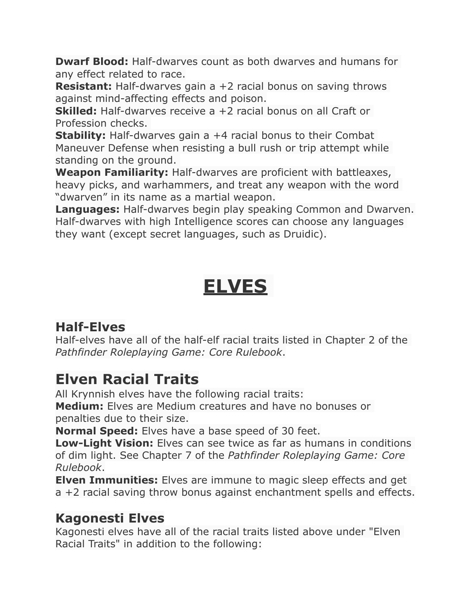**Dwarf Blood:** Half-dwarves count as both dwarves and humans for any effect related to race.

**Resistant:** Half-dwarves gain a +2 racial bonus on saving throws against mind-affecting effects and poison.

**Skilled:** Half-dwarves receive a +2 racial bonus on all Craft or Profession checks.

**Stability:** Half-dwarves gain a +4 racial bonus to their Combat Maneuver Defense when resisting a bull rush or trip attempt while standing on the ground.

**Weapon Familiarity:** Half-dwarves are proficient with battleaxes, heavy picks, and warhammers, and treat any weapon with the word "dwarven" in its name as a martial weapon.

**Languages:** Half-dwarves begin play speaking Common and Dwarven. Half-dwarves with high Intelligence scores can choose any languages they want (except secret languages, such as Druidic).

## **ELVES**

#### **Half-Elves**

Half-elves have all of the half-elf racial traits listed in Chapter 2 of the *Pathfinder Roleplaying Game: Core Rulebook*.

#### **Elven Racial Traits**

All Krynnish elves have the following racial traits:

**Medium:** Elves are Medium creatures and have no bonuses or penalties due to their size.

**Normal Speed:** Elves have a base speed of 30 feet.

**Low-Light Vision:** Elves can see twice as far as humans in conditions of dim light. See Chapter 7 of the *Pathfinder Roleplaying Game: Core Rulebook*.

**Elven Immunities:** Elves are immune to magic sleep effects and get a +2 racial saving throw bonus against enchantment spells and effects.

#### **Kagonesti Elves**

Kagonesti elves have all of the racial traits listed above under "Elven Racial Traits" in addition to the following: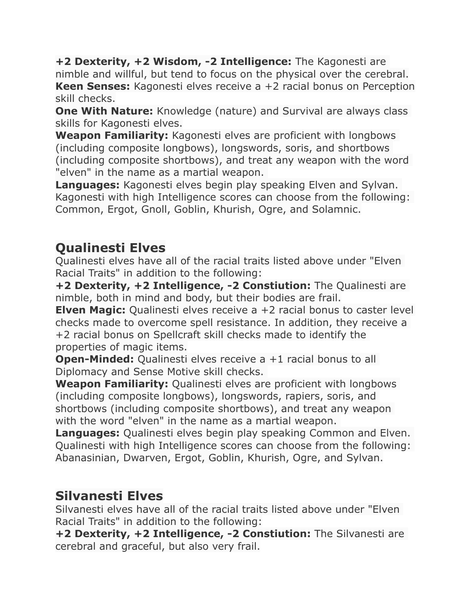**+2 Dexterity, +2 Wisdom, -2 Intelligence:** The Kagonesti are nimble and willful, but tend to focus on the physical over the cerebral. **Keen Senses:** Kagonesti elves receive a +2 racial bonus on Perception skill checks.

**One With Nature:** Knowledge (nature) and Survival are always class skills for Kagonesti elves.

**Weapon Familiarity:** Kagonesti elves are proficient with longbows (including composite longbows), longswords, soris, and shortbows (including composite shortbows), and treat any weapon with the word "elven" in the name as a martial weapon.

**Languages:** Kagonesti elves begin play speaking Elven and Sylvan. Kagonesti with high Intelligence scores can choose from the following: Common, Ergot, Gnoll, Goblin, Khurish, Ogre, and Solamnic.

#### **Qualinesti Elves**

Qualinesti elves have all of the racial traits listed above under "Elven Racial Traits" in addition to the following:

**+2 Dexterity, +2 Intelligence, -2 Constiution:** The Qualinesti are nimble, both in mind and body, but their bodies are frail.

**Elven Magic:** Qualinesti elves receive a +2 racial bonus to caster level checks made to overcome spell resistance. In addition, they receive a +2 racial bonus on Spellcraft skill checks made to identify the properties of magic items.

**Open-Minded:** Qualinesti elves receive a +1 racial bonus to all Diplomacy and Sense Motive skill checks.

**Weapon Familiarity:** Qualinesti elves are proficient with longbows (including composite longbows), longswords, rapiers, soris, and shortbows (including composite shortbows), and treat any weapon with the word "elven" in the name as a martial weapon.

**Languages:** Qualinesti elves begin play speaking Common and Elven. Qualinesti with high Intelligence scores can choose from the following: Abanasinian, Dwarven, Ergot, Goblin, Khurish, Ogre, and Sylvan.

#### **Silvanesti Elves**

Silvanesti elves have all of the racial traits listed above under "Elven Racial Traits" in addition to the following:

**+2 Dexterity, +2 Intelligence, -2 Constiution:** The Silvanesti are cerebral and graceful, but also very frail.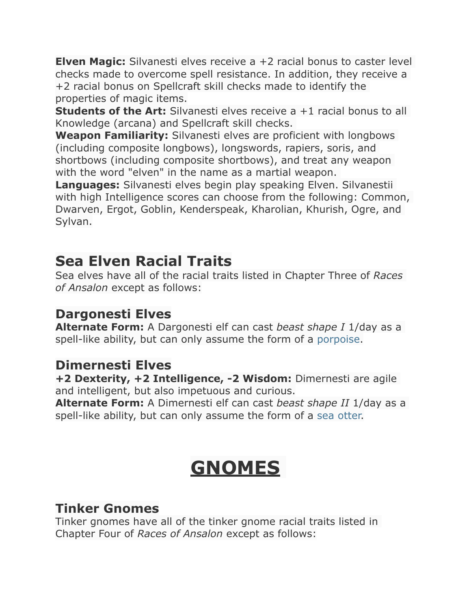**Elven Magic:** Silvanesti elves receive a +2 racial bonus to caster level checks made to overcome spell resistance. In addition, they receive a +2 racial bonus on Spellcraft skill checks made to identify the properties of magic items.

**Students of the Art:** Silvanesti elves receive a +1 racial bonus to all Knowledge (arcana) and Spellcraft skill checks.

**Weapon Familiarity:** Silvanesti elves are proficient with longbows (including composite longbows), longswords, rapiers, soris, and shortbows (including composite shortbows), and treat any weapon with the word "elven" in the name as a martial weapon.

**Languages:** Silvanesti elves begin play speaking Elven. Silvanestii with high Intelligence scores can choose from the following: Common, Dwarven, Ergot, Goblin, Kenderspeak, Kharolian, Khurish, Ogre, and Sylvan.

#### **Sea Elven Racial Traits**

Sea elves have all of the racial traits listed in Chapter Three of *Races of Ansalon* except as follows:

#### **Dargonesti Elves**

**Alternate Form:** A Dargonesti elf can cast *beast shape I* 1/day as a spell-like ability, but can only assume the form of a [porpoise.](http://www.d20pfsrd.com/bestiary/monster-listings/animals/cetacean/dolphin/dolphin)

#### **Dimernesti Elves**

**+2 Dexterity, +2 Intelligence, -2 Wisdom:** Dimernesti are agile and intelligent, but also impetuous and curious.

**Alternate Form:** A Dimernesti elf can cast *beast shape II* 1/day as a spell-like ability, but can only assume the form of a [sea otter.](http://www.d20pfsrd.com/beastiary/monster-listings/animals/otter)

## **GNOMES**

#### **Tinker Gnomes**

Tinker gnomes have all of the tinker gnome racial traits listed in Chapter Four of *Races of Ansalon* except as follows: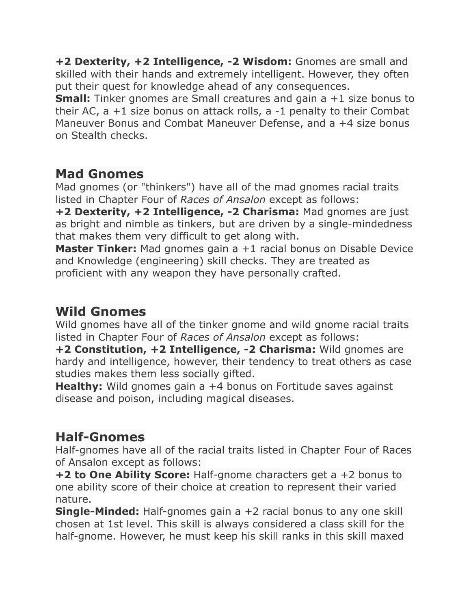**+2 Dexterity, +2 Intelligence, -2 Wisdom:** Gnomes are small and skilled with their hands and extremely intelligent. However, they often put their quest for knowledge ahead of any consequences.

**Small:** Tinker gnomes are Small creatures and gain a +1 size bonus to their AC, a +1 size bonus on attack rolls, a -1 penalty to their Combat Maneuver Bonus and Combat Maneuver Defense, and a +4 size bonus on Stealth checks.

#### **Mad Gnomes**

Mad gnomes (or "thinkers") have all of the mad gnomes racial traits listed in Chapter Four of *Races of Ansalon* except as follows:

**+2 Dexterity, +2 Intelligence, -2 Charisma:** Mad gnomes are just as bright and nimble as tinkers, but are driven by a single-mindedness that makes them very difficult to get along with.

**Master Tinker:** Mad gnomes gain a +1 racial bonus on Disable Device and Knowledge (engineering) skill checks. They are treated as proficient with any weapon they have personally crafted.

#### **Wild Gnomes**

Wild gnomes have all of the tinker gnome and wild gnome racial traits listed in Chapter Four of *Races of Ansalon* except as follows:

**+2 Constitution, +2 Intelligence, -2 Charisma:** Wild gnomes are hardy and intelligence, however, their tendency to treat others as case studies makes them less socially gifted.

**Healthy:** Wild gnomes gain a +4 bonus on Fortitude saves against disease and poison, including magical diseases.

#### **Half-Gnomes**

Half-gnomes have all of the racial traits listed in Chapter Four of Races of Ansalon except as follows:

**+2 to One Ability Score:** Half-gnome characters get a +2 bonus to one ability score of their choice at creation to represent their varied nature.

**Single-Minded:** Half-gnomes gain a +2 racial bonus to any one skill chosen at 1st level. This skill is always considered a class skill for the half-gnome. However, he must keep his skill ranks in this skill maxed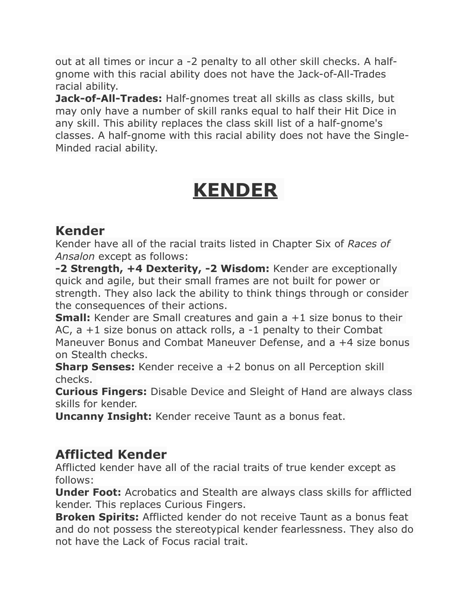out at all times or incur a -2 penalty to all other skill checks. A halfgnome with this racial ability does not have the Jack-of-All-Trades racial ability.

**Jack-of-All-Trades:** Half-gnomes treat all skills as class skills, but may only have a number of skill ranks equal to half their Hit Dice in any skill. This ability replaces the class skill list of a half-gnome's classes. A half-gnome with this racial ability does not have the Single-Minded racial ability.

## **KENDER**

#### **Kender**

Kender have all of the racial traits listed in Chapter Six of *Races of Ansalon* except as follows:

**-2 Strength, +4 Dexterity, -2 Wisdom:** Kender are exceptionally quick and agile, but their small frames are not built for power or strength. They also lack the ability to think things through or consider the consequences of their actions.

**Small:** Kender are Small creatures and gain a +1 size bonus to their AC, a +1 size bonus on attack rolls, a -1 penalty to their Combat Maneuver Bonus and Combat Maneuver Defense, and a +4 size bonus on Stealth checks.

**Sharp Senses:** Kender receive a +2 bonus on all Perception skill checks.

**Curious Fingers:** Disable Device and Sleight of Hand are always class skills for kender.

**Uncanny Insight:** Kender receive Taunt as a bonus feat.

#### **Afflicted Kender**

Afflicted kender have all of the racial traits of true kender except as follows:

**Under Foot:** Acrobatics and Stealth are always class skills for afflicted kender. This replaces Curious Fingers.

**Broken Spirits:** Afflicted kender do not receive Taunt as a bonus feat and do not possess the stereotypical kender fearlessness. They also do not have the Lack of Focus racial trait.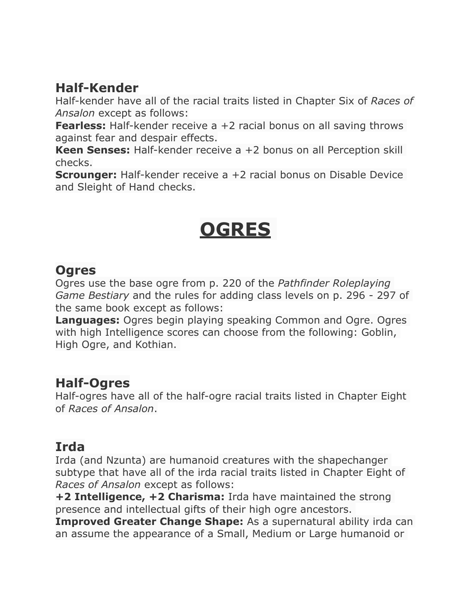#### **Half-Kender**

Half-kender have all of the racial traits listed in Chapter Six of *Races of Ansalon* except as follows:

**Fearless:** Half-kender receive a +2 racial bonus on all saving throws against fear and despair effects.

**Keen Senses:** Half-kender receive a +2 bonus on all Perception skill checks.

**Scrounger:** Half-kender receive a +2 racial bonus on Disable Device and Sleight of Hand checks.

### **OGRES**

#### **Ogres**

Ogres use the base ogre from p. 220 of the *Pathfinder Roleplaying Game Bestiary* and the rules for adding class levels on p. 296 - 297 of the same book except as follows:

**Languages:** Ogres begin playing speaking Common and Ogre. Ogres with high Intelligence scores can choose from the following: Goblin, High Ogre, and Kothian.

#### **Half-Ogres**

Half-ogres have all of the half-ogre racial traits listed in Chapter Eight of *Races of Ansalon*.

#### **Irda**

Irda (and Nzunta) are humanoid creatures with the shapechanger subtype that have all of the irda racial traits listed in Chapter Eight of *Races of Ansalon* except as follows:

**+2 Intelligence, +2 Charisma:** Irda have maintained the strong presence and intellectual gifts of their high ogre ancestors.

**Improved Greater Change Shape:** As a supernatural ability irda can an assume the appearance of a Small, Medium or Large humanoid or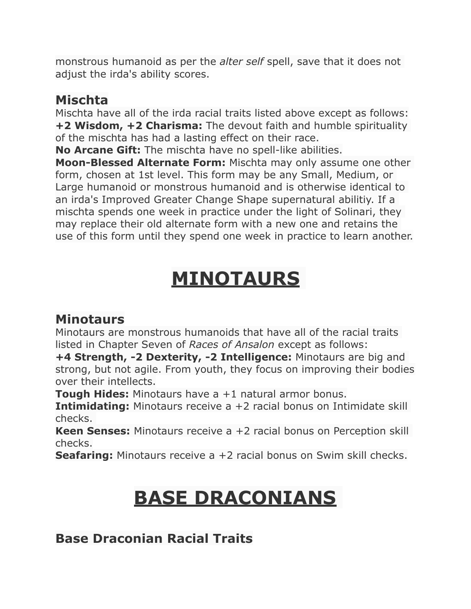monstrous humanoid as per the *alter self* spell, save that it does not adjust the irda's ability scores.

#### **Mischta**

Mischta have all of the irda racial traits listed above except as follows: **+2 Wisdom, +2 Charisma:** The devout faith and humble spirituality of the mischta has had a lasting effect on their race.

**No Arcane Gift:** The mischta have no spell-like abilities.

**Moon-Blessed Alternate Form:** Mischta may only assume one other form, chosen at 1st level. This form may be any Small, Medium, or Large humanoid or monstrous humanoid and is otherwise identical to an irda's Improved Greater Change Shape supernatural abilitiy. If a mischta spends one week in practice under the light of Solinari, they may replace their old alternate form with a new one and retains the use of this form until they spend one week in practice to learn another.

# **MINOTAURS**

#### **Minotaurs**

Minotaurs are monstrous humanoids that have all of the racial traits listed in Chapter Seven of *Races of Ansalon* except as follows:

**+4 Strength, -2 Dexterity, -2 Intelligence:** Minotaurs are big and strong, but not agile. From youth, they focus on improving their bodies over their intellects.

**Tough Hides:** Minotaurs have a +1 natural armor bonus.

**Intimidating:** Minotaurs receive a +2 racial bonus on Intimidate skill checks.

**Keen Senses:** Minotaurs receive a +2 racial bonus on Perception skill checks.

**Seafaring:** Minotaurs receive a +2 racial bonus on Swim skill checks.

## **BASE DRACONIANS**

**Base Draconian Racial Traits**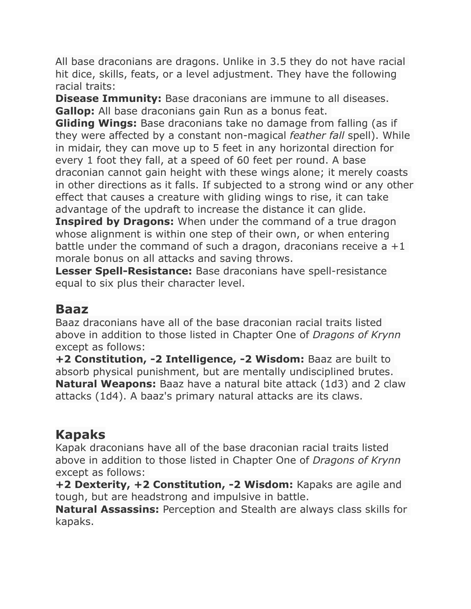All base draconians are dragons. Unlike in 3.5 they do not have racial hit dice, skills, feats, or a level adjustment. They have the following racial traits:

**Disease Immunity:** Base draconians are immune to all diseases. **Gallop:** All base draconians gain Run as a bonus feat.

**Gliding Wings:** Base draconians take no damage from falling (as if they were affected by a constant non-magical *feather fall* spell). While in midair, they can move up to 5 feet in any horizontal direction for every 1 foot they fall, at a speed of 60 feet per round. A base draconian cannot gain height with these wings alone; it merely coasts in other directions as it falls. If subjected to a strong wind or any other effect that causes a creature with gliding wings to rise, it can take advantage of the updraft to increase the distance it can glide.

**Inspired by Dragons:** When under the command of a true dragon whose alignment is within one step of their own, or when entering battle under the command of such a dragon, draconians receive  $a + 1$ morale bonus on all attacks and saving throws.

**Lesser Spell-Resistance:** Base draconians have spell-resistance equal to six plus their character level.

#### **Baaz**

Baaz draconians have all of the base draconian racial traits listed above in addition to those listed in Chapter One of *Dragons of Krynn* except as follows:

**+2 Constitution, -2 Intelligence, -2 Wisdom:** Baaz are built to absorb physical punishment, but are mentally undisciplined brutes. **Natural Weapons:** Baaz have a natural bite attack (1d3) and 2 claw attacks (1d4). A baaz's primary natural attacks are its claws.

#### **Kapaks**

Kapak draconians have all of the base draconian racial traits listed above in addition to those listed in Chapter One of *Dragons of Krynn* except as follows:

**+2 Dexterity, +2 Constitution, -2 Wisdom:** Kapaks are agile and tough, but are headstrong and impulsive in battle.

**Natural Assassins:** Perception and Stealth are always class skills for kapaks.